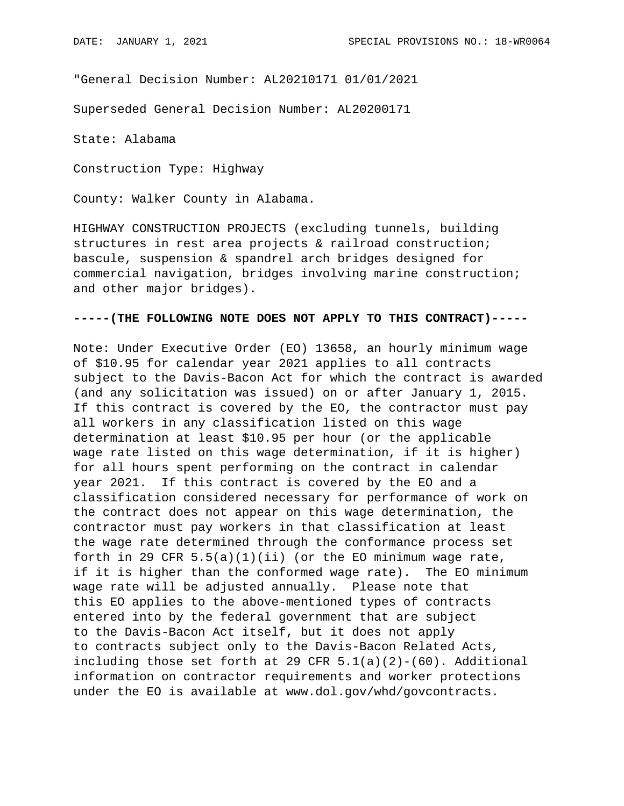"General Decision Number: AL20210171 01/01/2021

Superseded General Decision Number: AL20200171

State: Alabama

Construction Type: Highway

County: Walker County in Alabama.

HIGHWAY CONSTRUCTION PROJECTS (excluding tunnels, building structures in rest area projects & railroad construction; bascule, suspension & spandrel arch bridges designed for commercial navigation, bridges involving marine construction; and other major bridges).

## **-----(THE FOLLOWING NOTE DOES NOT APPLY TO THIS CONTRACT)-----**

Note: Under Executive Order (EO) 13658, an hourly minimum wage of \$10.95 for calendar year 2021 applies to all contracts subject to the Davis-Bacon Act for which the contract is awarded (and any solicitation was issued) on or after January 1, 2015. If this contract is covered by the EO, the contractor must pay all workers in any classification listed on this wage determination at least \$10.95 per hour (or the applicable wage rate listed on this wage determination, if it is higher) for all hours spent performing on the contract in calendar year 2021. If this contract is covered by the EO and a classification considered necessary for performance of work on the contract does not appear on this wage determination, the contractor must pay workers in that classification at least the wage rate determined through the conformance process set forth in 29 CFR  $5.5(a)(1)(ii)$  (or the EO minimum wage rate, if it is higher than the conformed wage rate). The EO minimum wage rate will be adjusted annually. Please note that this EO applies to the above-mentioned types of contracts entered into by the federal government that are subject to the Davis-Bacon Act itself, but it does not apply to contracts subject only to the Davis-Bacon Related Acts, including those set forth at 29 CFR  $5.1(a)(2)-(60)$ . Additional information on contractor requirements and worker protections under the EO is available at www.dol.gov/whd/govcontracts.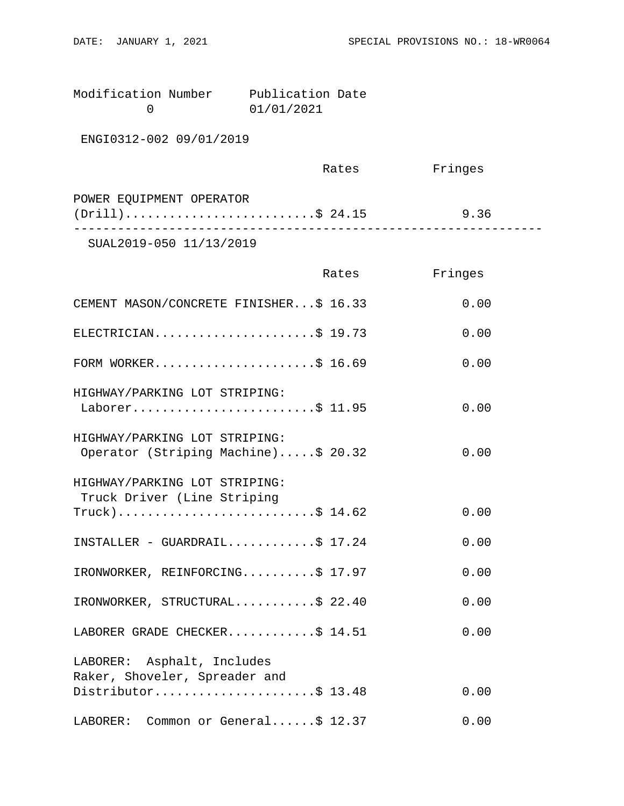| Modification Number | Publication Date |  |
|---------------------|------------------|--|
|                     | 01/01/2021       |  |

ENGI0312-002 09/01/2019

|                          | Rates | Fringes |  |
|--------------------------|-------|---------|--|
| POWER EQUIPMENT OPERATOR |       |         |  |
| $(Drill)$ \$ 24.15       |       | 9.36    |  |
|                          |       |         |  |

SUAL2019-050 11/13/2019

|                                                                      | Rates | Fringes |
|----------------------------------------------------------------------|-------|---------|
| CEMENT MASON/CONCRETE FINISHER\$ 16.33                               |       | 0.00    |
| ELECTRICIAN\$ 19.73                                                  |       | 0.00    |
| FORM WORKER\$ 16.69                                                  |       | 0.00    |
| HIGHWAY/PARKING LOT STRIPING:<br>Laborer\$ 11.95                     |       | 0.00    |
| HIGHWAY/PARKING LOT STRIPING:<br>Operator (Striping Machine)\$ 20.32 |       | 0.00    |
| HIGHWAY/PARKING LOT STRIPING:<br>Truck Driver (Line Striping         |       |         |
| Truck)\$ 14.62                                                       |       | 0.00    |
| $INSTALLER - GUARDRAL.$ \$ 17.24                                     |       | 0.00    |
| IRONWORKER, REINFORCING\$ 17.97                                      |       | 0.00    |
| IRONWORKER, STRUCTURAL\$ 22.40                                       |       | 0.00    |
| LABORER GRADE CHECKER\$ 14.51                                        |       | 0.00    |
| LABORER: Asphalt, Includes                                           |       |         |
| Raker, Shoveler, Spreader and<br>Distributor\$ 13.48                 |       | 0.00    |
| LABORER: Common or General\$ 12.37                                   |       | 0.00    |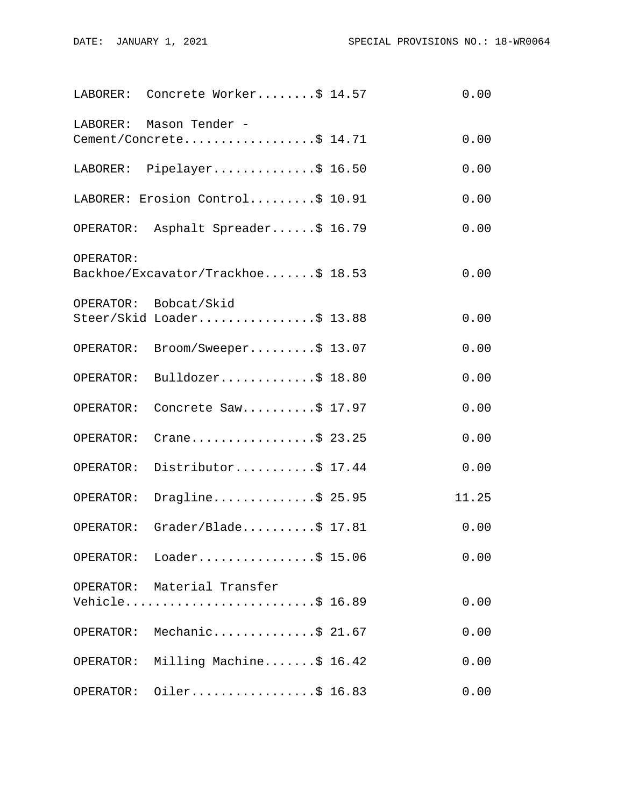|           | LABORER: Concrete Worker\$ 14.57                   | 0.00  |
|-----------|----------------------------------------------------|-------|
| LABORER:  | Mason Tender -<br>Cement/Concrete\$ 14.71          | 0.00  |
|           | LABORER: Pipelayer\$ 16.50                         | 0.00  |
|           | LABORER: Erosion Control\$ 10.91                   | 0.00  |
|           | OPERATOR: Asphalt Spreader\$ 16.79                 | 0.00  |
| OPERATOR: | Backhoe/Excavator/Trackhoe\$ 18.53                 | 0.00  |
|           | OPERATOR: Bobcat/Skid<br>Steer/Skid Loader\$ 13.88 | 0.00  |
| OPERATOR: | Broom/Sweeper\$ 13.07                              | 0.00  |
| OPERATOR: | Bulldozer\$ $18.80$                                | 0.00  |
| OPERATOR: | Concrete Saw\$ 17.97                               | 0.00  |
| OPERATOR: | Crane\$ 23.25                                      | 0.00  |
| OPERATOR: | Distributor\$ 17.44                                | 0.00  |
| OPERATOR: | Dragline\$ 25.95                                   | 11.25 |
| OPERATOR: | Grader/Blade $$ 17.81$                             | 0.00  |
|           | OPERATOR: Loader\$ 15.06                           | 0.00  |
|           | OPERATOR: Material Transfer<br>Vehicle\$ 16.89     | 0.00  |
|           | OPERATOR: Mechanic\$ 21.67                         | 0.00  |
|           | OPERATOR: Milling Machine\$ 16.42                  | 0.00  |
| OPERATOR: | Oiler\$ 16.83                                      | 0.00  |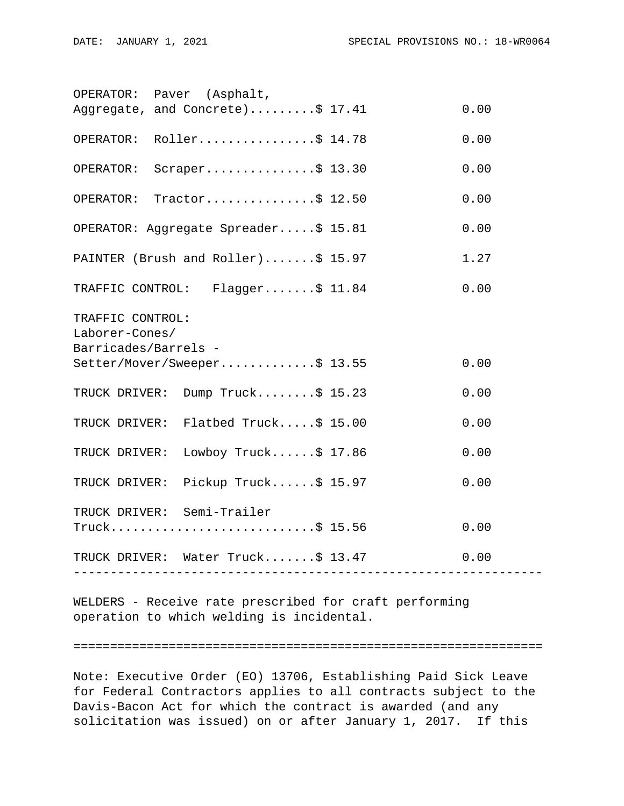|                                          | OPERATOR: Paver (Asphalt,                       |  |      |
|------------------------------------------|-------------------------------------------------|--|------|
|                                          | Aggregate, and Concrete)\$ 17.41                |  | 0.00 |
|                                          | OPERATOR: Roller\$ 14.78                        |  | 0.00 |
| OPERATOR:                                | Scraper\$ $13.30$                               |  | 0.00 |
| OPERATOR:                                | Tractor\$ $12.50$                               |  | 0.00 |
|                                          | OPERATOR: Aggregate Spreader\$ 15.81            |  | 0.00 |
|                                          | PAINTER (Brush and Roller)\$ 15.97              |  | 1.27 |
| 0.00<br>TRAFFIC CONTROL: Flagger\$ 11.84 |                                                 |  |      |
| TRAFFIC CONTROL:<br>Laborer-Cones/       |                                                 |  |      |
|                                          |                                                 |  |      |
| Barricades/Barrels -                     | Setter/Mover/Sweeper\$ 13.55                    |  | 0.00 |
|                                          | TRUCK DRIVER: Dump Truck\$ 15.23                |  | 0.00 |
|                                          | TRUCK DRIVER: Flatbed Truck\$ 15.00             |  | 0.00 |
| TRUCK DRIVER:                            | Lowboy Truck $$17.86$                           |  | 0.00 |
|                                          | TRUCK DRIVER: Pickup Truck\$ 15.97              |  | 0.00 |
|                                          | TRUCK DRIVER: Semi-Trailer<br>$True k$ \$ 15.56 |  | 0.00 |
|                                          | TRUCK DRIVER: Water Truck\$ 13.47               |  | 0.00 |
|                                          |                                                 |  |      |

WELDERS - Receive rate prescribed for craft performing operation to which welding is incidental.

#### ================================================================

Note: Executive Order (EO) 13706, Establishing Paid Sick Leave for Federal Contractors applies to all contracts subject to the Davis-Bacon Act for which the contract is awarded (and any solicitation was issued) on or after January 1, 2017. If this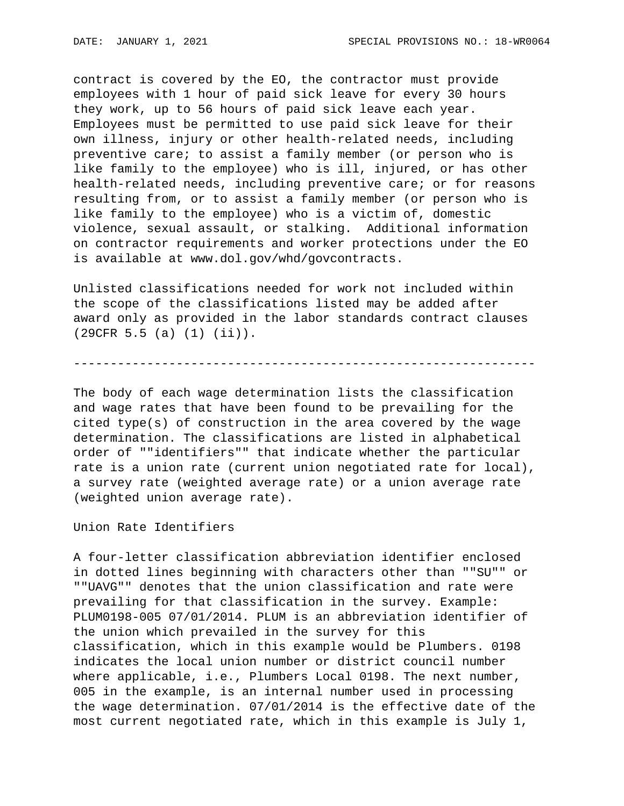contract is covered by the EO, the contractor must provide employees with 1 hour of paid sick leave for every 30 hours they work, up to 56 hours of paid sick leave each year. Employees must be permitted to use paid sick leave for their own illness, injury or other health-related needs, including preventive care; to assist a family member (or person who is like family to the employee) who is ill, injured, or has other health-related needs, including preventive care; or for reasons resulting from, or to assist a family member (or person who is like family to the employee) who is a victim of, domestic violence, sexual assault, or stalking. Additional information on contractor requirements and worker protections under the EO is available at www.dol.gov/whd/govcontracts.

Unlisted classifications needed for work not included within the scope of the classifications listed may be added after award only as provided in the labor standards contract clauses (29CFR 5.5 (a) (1) (ii)).

# ---------------------------------------------------------------

The body of each wage determination lists the classification and wage rates that have been found to be prevailing for the cited type(s) of construction in the area covered by the wage determination. The classifications are listed in alphabetical order of ""identifiers"" that indicate whether the particular rate is a union rate (current union negotiated rate for local), a survey rate (weighted average rate) or a union average rate (weighted union average rate).

Union Rate Identifiers

A four-letter classification abbreviation identifier enclosed in dotted lines beginning with characters other than ""SU"" or ""UAVG"" denotes that the union classification and rate were prevailing for that classification in the survey. Example: PLUM0198-005 07/01/2014. PLUM is an abbreviation identifier of the union which prevailed in the survey for this classification, which in this example would be Plumbers. 0198 indicates the local union number or district council number where applicable, i.e., Plumbers Local 0198. The next number, 005 in the example, is an internal number used in processing the wage determination. 07/01/2014 is the effective date of the most current negotiated rate, which in this example is July 1,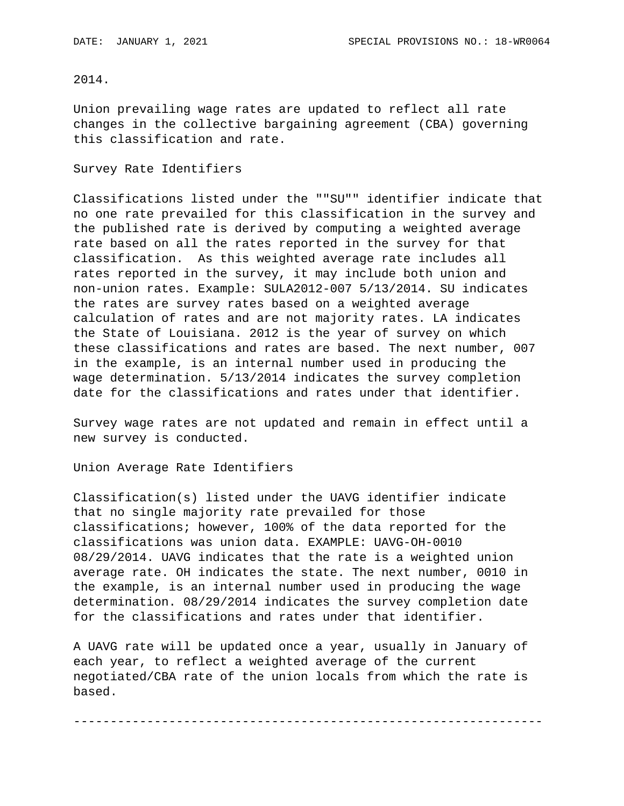## 2014.

Union prevailing wage rates are updated to reflect all rate changes in the collective bargaining agreement (CBA) governing this classification and rate.

#### Survey Rate Identifiers

Classifications listed under the ""SU"" identifier indicate that no one rate prevailed for this classification in the survey and the published rate is derived by computing a weighted average rate based on all the rates reported in the survey for that classification. As this weighted average rate includes all rates reported in the survey, it may include both union and non-union rates. Example: SULA2012-007 5/13/2014. SU indicates the rates are survey rates based on a weighted average calculation of rates and are not majority rates. LA indicates the State of Louisiana. 2012 is the year of survey on which these classifications and rates are based. The next number, 007 in the example, is an internal number used in producing the wage determination. 5/13/2014 indicates the survey completion date for the classifications and rates under that identifier.

Survey wage rates are not updated and remain in effect until a new survey is conducted.

Union Average Rate Identifiers

Classification(s) listed under the UAVG identifier indicate that no single majority rate prevailed for those classifications; however, 100% of the data reported for the classifications was union data. EXAMPLE: UAVG-OH-0010 08/29/2014. UAVG indicates that the rate is a weighted union average rate. OH indicates the state. The next number, 0010 in the example, is an internal number used in producing the wage determination. 08/29/2014 indicates the survey completion date for the classifications and rates under that identifier.

A UAVG rate will be updated once a year, usually in January of each year, to reflect a weighted average of the current negotiated/CBA rate of the union locals from which the rate is based.

----------------------------------------------------------------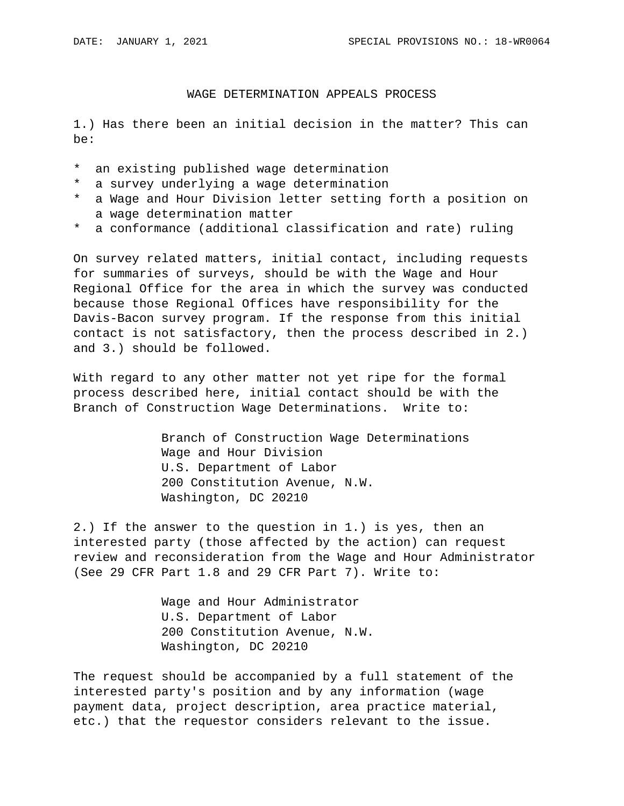# WAGE DETERMINATION APPEALS PROCESS

1.) Has there been an initial decision in the matter? This can be:

- \* an existing published wage determination
- \* a survey underlying a wage determination
- \* a Wage and Hour Division letter setting forth a position on a wage determination matter
- \* a conformance (additional classification and rate) ruling

On survey related matters, initial contact, including requests for summaries of surveys, should be with the Wage and Hour Regional Office for the area in which the survey was conducted because those Regional Offices have responsibility for the Davis-Bacon survey program. If the response from this initial contact is not satisfactory, then the process described in 2.) and 3.) should be followed.

With regard to any other matter not yet ripe for the formal process described here, initial contact should be with the Branch of Construction Wage Determinations. Write to:

> Branch of Construction Wage Determinations Wage and Hour Division U.S. Department of Labor 200 Constitution Avenue, N.W. Washington, DC 20210

2.) If the answer to the question in 1.) is yes, then an interested party (those affected by the action) can request review and reconsideration from the Wage and Hour Administrator (See 29 CFR Part 1.8 and 29 CFR Part 7). Write to:

> Wage and Hour Administrator U.S. Department of Labor 200 Constitution Avenue, N.W. Washington, DC 20210

The request should be accompanied by a full statement of the interested party's position and by any information (wage payment data, project description, area practice material, etc.) that the requestor considers relevant to the issue.